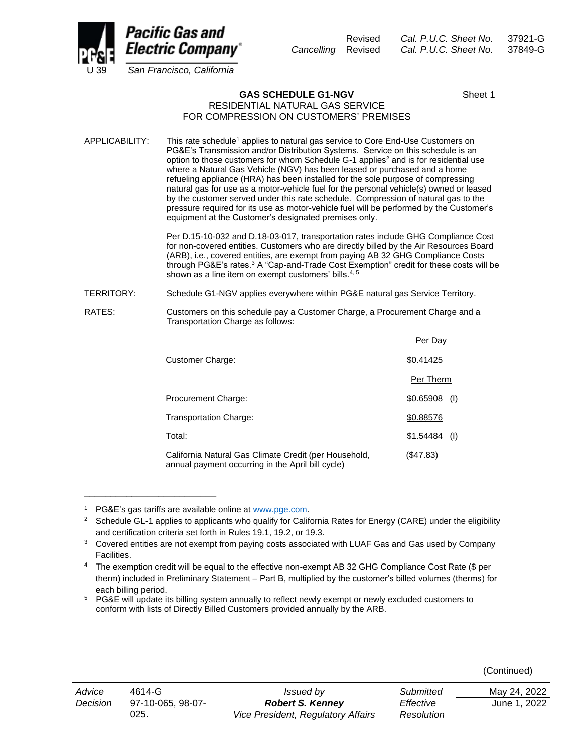

Revised *Cal. P.U.C. Sheet No.* 37921-G *Cancelling* Revised *Cal. P.U.C. Sheet No.* 37849-G

**GAS SCHEDULE G1-NGV** Sheet 1 RESIDENTIAL NATURAL GAS SERVICE

## FOR COMPRESSION ON CUSTOMERS' PREMISES

APPLICABILITY: This rate schedule<sup>1</sup> applies to natural gas service to Core End-Use Customers on PG&E's Transmission and/or Distribution Systems. Service on this schedule is an option to those customers for whom Schedule G-1 applies<sup>2</sup> and is for residential use where a Natural Gas Vehicle (NGV) has been leased or purchased and a home refueling appliance (HRA) has been installed for the sole purpose of compressing natural gas for use as a motor-vehicle fuel for the personal vehicle(s) owned or leased by the customer served under this rate schedule. Compression of natural gas to the pressure required for its use as motor-vehicle fuel will be performed by the Customer's equipment at the Customer's designated premises only.

> Per D.15-10-032 and D.18-03-017, transportation rates include GHG Compliance Cost for non-covered entities. Customers who are directly billed by the Air Resources Board (ARB), i.e., covered entities, are exempt from paying AB 32 GHG Compliance Costs through PG&E's rates.<sup>3</sup> A "Cap-and-Trade Cost Exemption" credit for these costs will be shown as a line item on exempt customers' bills.<sup>4,5</sup>

TERRITORY: Schedule G1-NGV applies everywhere within PG&E natural gas Service Territory.

RATES: Customers on this schedule pay a Customer Charge, a Procurement Charge and a Transportation Charge as follows:

|                                                                                                            | Per Day          |
|------------------------------------------------------------------------------------------------------------|------------------|
| Customer Charge:                                                                                           | \$0.41425        |
|                                                                                                            | Per Therm        |
| Procurement Charge:                                                                                        | \$0.65908<br>(1) |
| Transportation Charge:                                                                                     | \$0.88576        |
| Total:                                                                                                     | \$1.54484<br>(1) |
| California Natural Gas Climate Credit (per Household,<br>annual payment occurring in the April bill cycle) | (S47.83)         |

PG&E's gas tariffs are available online at [www.pge.com.](http://www.pge.com/)

\_\_\_\_\_\_\_\_\_\_\_\_\_\_\_\_\_\_\_\_\_\_\_\_\_

| (Continued) |
|-------------|
|             |

| ubmitted   | May 24, 2022 |
|------------|--------------|
| ffective   | June 1, 2022 |
| 'esolution |              |

<sup>&</sup>lt;sup>2</sup> Schedule GL-1 applies to applicants who qualify for California Rates for Energy (CARE) under the eligibility and certification criteria set forth in Rules 19.1, 19.2, or 19.3.

<sup>&</sup>lt;sup>3</sup> Covered entities are not exempt from paying costs associated with LUAF Gas and Gas used by Company Facilities.

The exemption credit will be equal to the effective non-exempt AB 32 GHG Compliance Cost Rate (\$ per therm) included in Preliminary Statement – Part B, multiplied by the customer's billed volumes (therms) for each billing period.

<sup>5</sup> PG&E will update its billing system annually to reflect newly exempt or newly excluded customers to conform with lists of Directly Billed Customers provided annually by the ARB.